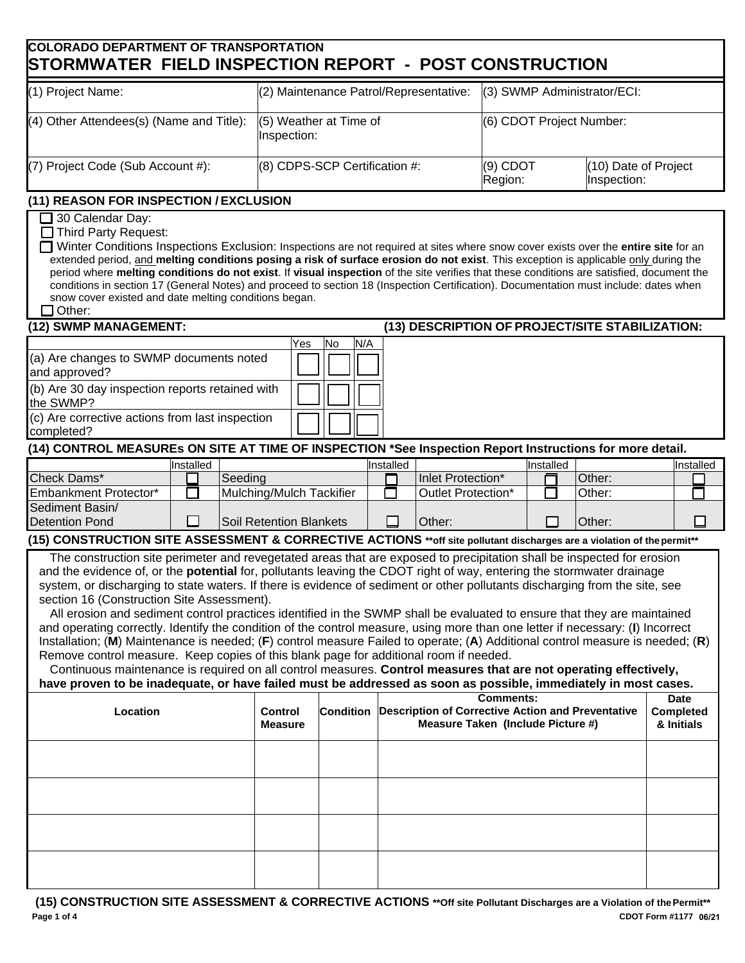## **COLORADO DEPARTMENT OF TRANSPORTATION STORMWATER FIFI D INSPECTION REPORT - POST CONSTRUCTION**

|                                                                                                                                                                                                                                                                                                                                                                                                                                                                                                                                                                                                                                                                                                                                                                                                                                                                                                                                                                                                                                                                                                                                                           |                                       |         | יוטוויטם ושיח שבבו ו                   |                  |                       |                                     |                                                                                               | <u>UUITUITTUUTTUI</u>       |  |           |  |        |  |  |                                               |
|-----------------------------------------------------------------------------------------------------------------------------------------------------------------------------------------------------------------------------------------------------------------------------------------------------------------------------------------------------------------------------------------------------------------------------------------------------------------------------------------------------------------------------------------------------------------------------------------------------------------------------------------------------------------------------------------------------------------------------------------------------------------------------------------------------------------------------------------------------------------------------------------------------------------------------------------------------------------------------------------------------------------------------------------------------------------------------------------------------------------------------------------------------------|---------------------------------------|---------|----------------------------------------|------------------|-----------------------|-------------------------------------|-----------------------------------------------------------------------------------------------|-----------------------------|--|-----------|--|--------|--|--|-----------------------------------------------|
| (1) Project Name:                                                                                                                                                                                                                                                                                                                                                                                                                                                                                                                                                                                                                                                                                                                                                                                                                                                                                                                                                                                                                                                                                                                                         |                                       |         | (2) Maintenance Patrol/Representative: |                  |                       |                                     |                                                                                               | (3) SWMP Administrator/ECI: |  |           |  |        |  |  |                                               |
| (4) Other Attendees(s) (Name and Title):                                                                                                                                                                                                                                                                                                                                                                                                                                                                                                                                                                                                                                                                                                                                                                                                                                                                                                                                                                                                                                                                                                                  | (5) Weather at Time of<br>Inspection: |         |                                        |                  |                       | (6) CDOT Project Number:            |                                                                                               |                             |  |           |  |        |  |  |                                               |
| (7) Project Code (Sub Account #):                                                                                                                                                                                                                                                                                                                                                                                                                                                                                                                                                                                                                                                                                                                                                                                                                                                                                                                                                                                                                                                                                                                         | (8) CDPS-SCP Certification #:         |         |                                        |                  | $(9)$ CDOT<br>Region: | (10) Date of Project<br>Inspection: |                                                                                               |                             |  |           |  |        |  |  |                                               |
| (11) REASON FOR INSPECTION / EXCLUSION                                                                                                                                                                                                                                                                                                                                                                                                                                                                                                                                                                                                                                                                                                                                                                                                                                                                                                                                                                                                                                                                                                                    |                                       |         |                                        |                  |                       |                                     |                                                                                               |                             |  |           |  |        |  |  |                                               |
| 30 Calendar Day:<br>$\Box$ Third Party Request:<br>Winter Conditions Inspections Exclusion: Inspections are not required at sites where snow cover exists over the entire site for an<br>extended period, and melting conditions posing a risk of surface erosion do not exist. This exception is applicable only during the<br>period where melting conditions do not exist. If visual inspection of the site verifies that these conditions are satisfied, document the<br>conditions in section 17 (General Notes) and proceed to section 18 (Inspection Certification). Documentation must include: dates when<br>snow cover existed and date melting conditions began.<br>$\exists$ Other:                                                                                                                                                                                                                                                                                                                                                                                                                                                           |                                       |         |                                        |                  |                       |                                     |                                                                                               |                             |  |           |  |        |  |  |                                               |
| (12) SWMP MANAGEMENT:                                                                                                                                                                                                                                                                                                                                                                                                                                                                                                                                                                                                                                                                                                                                                                                                                                                                                                                                                                                                                                                                                                                                     |                                       |         |                                        |                  |                       |                                     | (13) DESCRIPTION OF PROJECT/SITE STABILIZATION:                                               |                             |  |           |  |        |  |  |                                               |
| (a) Are changes to SWMP documents noted<br>and approved?<br>(b) Are 30 day inspection reports retained with<br>the SWMP?<br>(c) Are corrective actions from last inspection<br>completed?                                                                                                                                                                                                                                                                                                                                                                                                                                                                                                                                                                                                                                                                                                                                                                                                                                                                                                                                                                 |                                       |         | Yes                                    | N/A<br>No        |                       |                                     |                                                                                               |                             |  |           |  |        |  |  |                                               |
| (14) CONTROL MEASUREs ON SITE AT TIME OF INSPECTION *See Inspection Report Instructions for more detail.                                                                                                                                                                                                                                                                                                                                                                                                                                                                                                                                                                                                                                                                                                                                                                                                                                                                                                                                                                                                                                                  |                                       |         |                                        |                  |                       |                                     |                                                                                               |                             |  |           |  |        |  |  |                                               |
|                                                                                                                                                                                                                                                                                                                                                                                                                                                                                                                                                                                                                                                                                                                                                                                                                                                                                                                                                                                                                                                                                                                                                           | Installed                             |         |                                        |                  | nstalled              |                                     |                                                                                               |                             |  | Installed |  |        |  |  | Installed                                     |
| Check Dams*                                                                                                                                                                                                                                                                                                                                                                                                                                                                                                                                                                                                                                                                                                                                                                                                                                                                                                                                                                                                                                                                                                                                               |                                       | Seeding |                                        |                  |                       |                                     | Inlet Protection*                                                                             |                             |  |           |  | Other: |  |  |                                               |
| Embankment Protector*                                                                                                                                                                                                                                                                                                                                                                                                                                                                                                                                                                                                                                                                                                                                                                                                                                                                                                                                                                                                                                                                                                                                     |                                       |         | Mulching/Mulch Tackifier               |                  |                       |                                     | Outlet Protection*                                                                            |                             |  |           |  | Other: |  |  |                                               |
| Sediment Basin/<br><b>Detention Pond</b>                                                                                                                                                                                                                                                                                                                                                                                                                                                                                                                                                                                                                                                                                                                                                                                                                                                                                                                                                                                                                                                                                                                  |                                       |         | <b>Soil Retention Blankets</b>         |                  |                       |                                     | Other:                                                                                        |                             |  |           |  | Other: |  |  |                                               |
| (15) CONSTRUCTION SITE ASSESSMENT & CORRECTIVE ACTIONS **off site pollutant discharges are a violation of the permit**                                                                                                                                                                                                                                                                                                                                                                                                                                                                                                                                                                                                                                                                                                                                                                                                                                                                                                                                                                                                                                    |                                       |         |                                        |                  |                       |                                     |                                                                                               |                             |  |           |  |        |  |  |                                               |
| The construction site perimeter and revegetated areas that are exposed to precipitation shall be inspected for erosion<br>and the evidence of, or the potential for, pollutants leaving the CDOT right of way, entering the stormwater drainage<br>system, or discharging to state waters. If there is evidence of sediment or other pollutants discharging from the site, see<br>section 16 (Construction Site Assessment).<br>All erosion and sediment control practices identified in the SWMP shall be evaluated to ensure that they are maintained<br>and operating correctly. Identify the condition of the control measure, using more than one letter if necessary: (I) Incorrect<br>Installation; (M) Maintenance is needed; (F) control measure Failed to operate; (A) Additional control measure is needed; (R)<br>Remove control measure. Keep copies of this blank page for additional room if needed.<br>Continuous maintenance is required on all control measures. Control measures that are not operating effectively,<br>have proven to be inadequate, or have failed must be addressed as soon as possible, immediately in most cases. |                                       |         |                                        |                  |                       |                                     |                                                                                               | <b>Comments:</b>            |  |           |  |        |  |  |                                               |
| Location                                                                                                                                                                                                                                                                                                                                                                                                                                                                                                                                                                                                                                                                                                                                                                                                                                                                                                                                                                                                                                                                                                                                                  |                                       |         | <b>Control</b><br><b>Measure</b>       | <b>Condition</b> |                       |                                     | <b>Description of Corrective Action and Preventative</b><br>Measure Taken (Include Picture #) |                             |  |           |  |        |  |  | <b>Date</b><br><b>Completed</b><br>& Initials |
|                                                                                                                                                                                                                                                                                                                                                                                                                                                                                                                                                                                                                                                                                                                                                                                                                                                                                                                                                                                                                                                                                                                                                           |                                       |         |                                        |                  |                       |                                     |                                                                                               |                             |  |           |  |        |  |  |                                               |
|                                                                                                                                                                                                                                                                                                                                                                                                                                                                                                                                                                                                                                                                                                                                                                                                                                                                                                                                                                                                                                                                                                                                                           |                                       |         |                                        |                  |                       |                                     |                                                                                               |                             |  |           |  |        |  |  |                                               |
|                                                                                                                                                                                                                                                                                                                                                                                                                                                                                                                                                                                                                                                                                                                                                                                                                                                                                                                                                                                                                                                                                                                                                           |                                       |         |                                        |                  |                       |                                     |                                                                                               |                             |  |           |  |        |  |  |                                               |
|                                                                                                                                                                                                                                                                                                                                                                                                                                                                                                                                                                                                                                                                                                                                                                                                                                                                                                                                                                                                                                                                                                                                                           |                                       |         |                                        |                  |                       |                                     |                                                                                               |                             |  |           |  |        |  |  |                                               |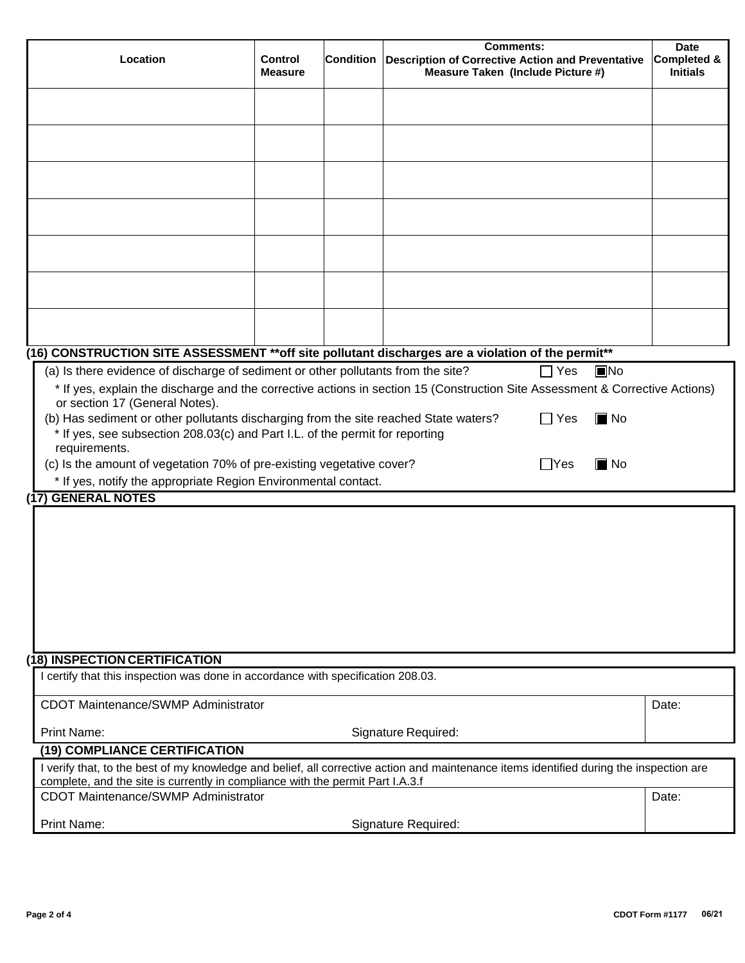| Location                                                                                                                                                                                                                                                                                                                                                                                 | <b>Control</b><br><b>Measure</b> | <b>Condition</b> | <b>Comments:</b><br>Description of Corrective Action and Preventative<br>Measure Taken (Include Picture #)                                                                                     | <b>Date</b><br><b>Completed &amp;</b><br><b>Initials</b> |  |  |  |
|------------------------------------------------------------------------------------------------------------------------------------------------------------------------------------------------------------------------------------------------------------------------------------------------------------------------------------------------------------------------------------------|----------------------------------|------------------|------------------------------------------------------------------------------------------------------------------------------------------------------------------------------------------------|----------------------------------------------------------|--|--|--|
|                                                                                                                                                                                                                                                                                                                                                                                          |                                  |                  |                                                                                                                                                                                                |                                                          |  |  |  |
|                                                                                                                                                                                                                                                                                                                                                                                          |                                  |                  |                                                                                                                                                                                                |                                                          |  |  |  |
|                                                                                                                                                                                                                                                                                                                                                                                          |                                  |                  |                                                                                                                                                                                                |                                                          |  |  |  |
|                                                                                                                                                                                                                                                                                                                                                                                          |                                  |                  |                                                                                                                                                                                                |                                                          |  |  |  |
|                                                                                                                                                                                                                                                                                                                                                                                          |                                  |                  |                                                                                                                                                                                                |                                                          |  |  |  |
|                                                                                                                                                                                                                                                                                                                                                                                          |                                  |                  |                                                                                                                                                                                                |                                                          |  |  |  |
|                                                                                                                                                                                                                                                                                                                                                                                          |                                  |                  |                                                                                                                                                                                                |                                                          |  |  |  |
|                                                                                                                                                                                                                                                                                                                                                                                          |                                  |                  |                                                                                                                                                                                                |                                                          |  |  |  |
|                                                                                                                                                                                                                                                                                                                                                                                          |                                  |                  |                                                                                                                                                                                                |                                                          |  |  |  |
|                                                                                                                                                                                                                                                                                                                                                                                          |                                  |                  |                                                                                                                                                                                                |                                                          |  |  |  |
|                                                                                                                                                                                                                                                                                                                                                                                          |                                  |                  |                                                                                                                                                                                                |                                                          |  |  |  |
| (a) Is there evidence of discharge of sediment or other pollutants from the site?                                                                                                                                                                                                                                                                                                        |                                  |                  | (16) CONSTRUCTION SITE ASSESSMENT ** off site pollutant discharges are a violation of the permit**<br>$\Box$ Yes<br>$\n  INO\n$                                                                |                                                          |  |  |  |
| or section 17 (General Notes).<br>(b) Has sediment or other pollutants discharging from the site reached State waters?<br>* If yes, see subsection 208.03(c) and Part I.L. of the permit for reporting<br>requirements.<br>(c) Is the amount of vegetation 70% of pre-existing vegetative cover?<br>* If yes, notify the appropriate Region Environmental contact.<br>(17) GENERAL NOTES |                                  |                  | * If yes, explain the discharge and the corrective actions in section 15 (Construction Site Assessment & Corrective Actions)<br>$\blacksquare$ No<br>$\Box$ Yes<br>$\blacksquare$ No<br>- IYes |                                                          |  |  |  |
| (18) INSPECTION CERTIFICATION                                                                                                                                                                                                                                                                                                                                                            |                                  |                  |                                                                                                                                                                                                |                                                          |  |  |  |
| I certify that this inspection was done in accordance with specification 208.03.                                                                                                                                                                                                                                                                                                         |                                  |                  |                                                                                                                                                                                                |                                                          |  |  |  |
| <b>CDOT Maintenance/SWMP Administrator</b>                                                                                                                                                                                                                                                                                                                                               |                                  |                  |                                                                                                                                                                                                | Date:                                                    |  |  |  |
| <b>Print Name:</b>                                                                                                                                                                                                                                                                                                                                                                       |                                  |                  | Signature Required:                                                                                                                                                                            |                                                          |  |  |  |
| (19) COMPLIANCE CERTIFICATION                                                                                                                                                                                                                                                                                                                                                            |                                  |                  | I verify that, to the best of my knowledge and belief, all corrective action and maintenance items identified during the inspection are                                                        |                                                          |  |  |  |
| complete, and the site is currently in compliance with the permit Part I.A.3.f<br><b>CDOT Maintenance/SWMP Administrator</b>                                                                                                                                                                                                                                                             |                                  |                  |                                                                                                                                                                                                |                                                          |  |  |  |
| Date:<br>Print Name:<br>Signature Required:                                                                                                                                                                                                                                                                                                                                              |                                  |                  |                                                                                                                                                                                                |                                                          |  |  |  |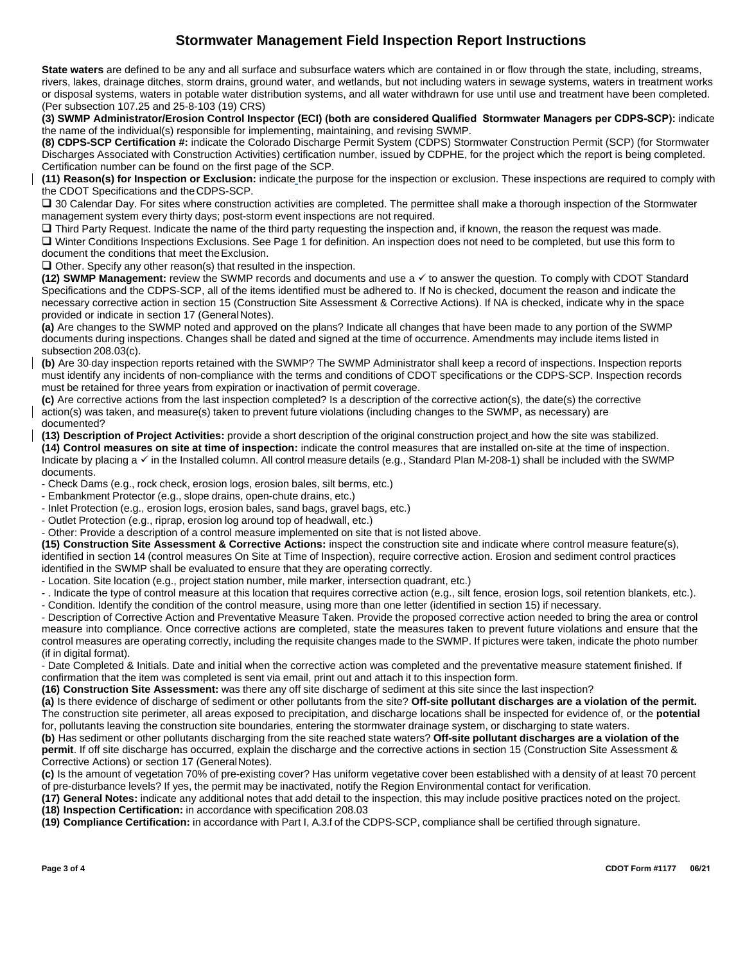## **Stormwater Management Field Inspection Report Instructions**

**State waters** are defined to be any and all surface and subsurface waters which are contained in or flow through the state, including, streams, rivers, lakes, drainage ditches, storm drains, ground water, and wetlands, but not including waters in sewage systems, waters in treatment works or disposal systems, waters in potable water distribution systems, and all water withdrawn for use until use and treatment have been completed. (Per subsection 107.25 and 25-8-103 (19) CRS)

**(3) SWMP Administrator/Erosion Control Inspector (ECI) (both are considered Qualified Stormwater Managers per CDPS-SCP):** indicate the name of the individual(s) responsible for implementing, maintaining, and revising SWMP.

**(8) CDPS-SCP Certification #:** indicate the Colorado Discharge Permit System (CDPS) Stormwater Construction Permit (SCP) (for Stormwater Discharges Associated with Construction Activities) certification number, issued by CDPHE, for the project which the report is being completed. Certification number can be found on the first page of the SCP.

**(11) Reason(s) for Inspection or Exclusion:** indicate the purpose for the inspection or exclusion. These inspections are required to comply with the CDOT Specifications and the CDPS-SCP.

 $\square$  30 Calendar Day. For sites where construction activities are completed. The permittee shall make a thorough inspection of the Stormwater management system every thirty days; post-storm event inspections are not required.

 $\Box$  Third Party Request. Indicate the name of the third party requesting the inspection and, if known, the reason the request was made. Winter Conditions Inspections Exclusions. See Page 1 for definition. An inspection does not need to be completed, but use this form to document the conditions that meet the Exclusion.

 $\Box$  Other. Specify any other reason(s) that resulted in the inspection.

**(12) SWMP Management:** review the SWMP records and documents and use a √ to answer the question. To comply with CDOT Standard Specifications and the CDPS-SCP, all of the items identified must be adhered to. If No is checked, document the reason and indicate the necessary corrective action in section 15 (Construction Site Assessment & Corrective Actions). If NA is checked, indicate why in the space provided or indicate in section 17 (General Notes).

**(a)** Are changes to the SWMP noted and approved on the plans? Indicate all changes that have been made to any portion of the SWMP documents during inspections. Changes shall be dated and signed at the time of occurrence. Amendments may include items listed in subsection 208.03(c).

**(b)** Are 30 day inspection reports retained with the SWMP? The SWMP Administrator shall keep a record of inspections. Inspection reports must identify any incidents of non-compliance with the terms and conditions of CDOT specifications or the CDPS-SCP. Inspection records must be retained for three years from expiration or inactivation of permit coverage.

**(c)** Are corrective actions from the last inspection completed? Is a description of the corrective action(s), the date(s) the corrective action(s) was taken, and measure(s) taken to prevent future violations (including changes to the SWMP, as necessary) are documented?

**(13) Description of Project Activities:** provide a short description of the original construction project and how the site was stabilized. **(14) Control measures on site at time of inspection:** indicate the control measures that are installed on-site at the time of inspection. Indicate by placing a  $\checkmark$  in the Installed column. All control measure details (e.g., Standard Plan M-208-1) shall be included with the SWMP documents.

- Check Dams (e.g., rock check, erosion logs, erosion bales, silt berms, etc.)

- Embankment Protector (e.g., slope drains, open-chute drains, etc.)
- Inlet Protection (e.g., erosion logs, erosion bales, sand bags, gravel bags, etc.)
- Outlet Protection (e.g., riprap, erosion log around top of headwall, etc.)
- Other: Provide a description of a control measure implemented on site that is not listed above.

**(15) Construction Site Assessment & Corrective Actions:** inspect the construction site and indicate where control measure feature(s), identified in section 14 (control measures On Site at Time of Inspection), require corrective action. Erosion and sediment control practices identified in the SWMP shall be evaluated to ensure that they are operating correctly.

- Location. Site location (e.g., project station number, mile marker, intersection quadrant, etc.)

- . Indicate the type of control measure at this location that requires corrective action (e.g., silt fence, erosion logs, soil retention blankets, etc.). - Condition. Identify the condition of the control measure, using more than one letter (identified in section 15) if necessary.

- Description of Corrective Action and Preventative Measure Taken. Provide the proposed corrective action needed to bring the area or control measure into compliance. Once corrective actions are completed, state the measures taken to prevent future violations and ensure that the control measures are operating correctly, including the requisite changes made to the SWMP. If pictures were taken, indicate the photo number (if in digital format).

- Date Completed & Initials. Date and initial when the corrective action was completed and the preventative measure statement finished. If confirmation that the item was completed is sent via email, print out and attach it to this inspection form.

**(16) Construction Site Assessment:** was there any off site discharge of sediment at this site since the last inspection?

**(a)** Is there evidence of discharge of sediment or other pollutants from the site? **Off-site pollutant discharges are a violation of the permit.** The construction site perimeter, all areas exposed to precipitation, and discharge locations shall be inspected for evidence of, or the **potential** for, pollutants leaving the construction site boundaries, entering the stormwater drainage system, or discharging to state waters.

**(b)** Has sediment or other pollutants discharging from the site reached state waters? **Off-site pollutant discharges are a violation of the permit**. If off site discharge has occurred, explain the discharge and the corrective actions in section 15 (Construction Site Assessment & Corrective Actions) or section 17 (General Notes).

**(c)** Is the amount of vegetation 70% of pre-existing cover? Has uniform vegetative cover been established with a density of at least 70 percent of pre-disturbance levels? If yes, the permit may be inactivated, notify the Region Environmental contact for verification.

**(17) General Notes:** indicate any additional notes that add detail to the inspection, this may include positive practices noted on the project. **(18) Inspection Certification:** in accordance with specification 208.03

**(19) Compliance Certification:** in accordance with Part I, A.3.f of the CDPS-SCP, compliance shall be certified through signature.